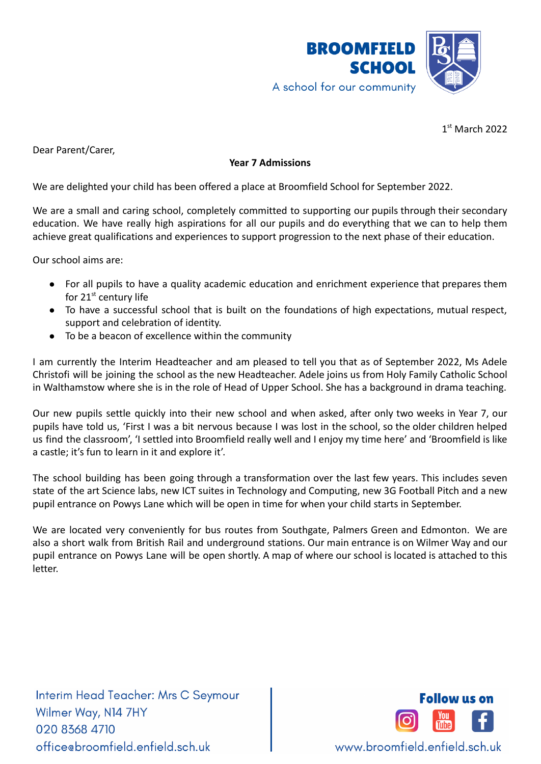

1 st March 2022

Dear Parent/Carer,

## **Year 7 Admissions**

We are delighted your child has been offered a place at Broomfield School for September 2022.

We are a small and caring school, completely committed to supporting our pupils through their secondary education. We have really high aspirations for all our pupils and do everything that we can to help them achieve great qualifications and experiences to support progression to the next phase of their education.

Our school aims are:

- For all pupils to have a quality academic education and enrichment experience that prepares them for 21<sup>st</sup> century life
- To have a successful school that is built on the foundations of high expectations, mutual respect, support and celebration of identity.
- To be a beacon of excellence within the community

I am currently the Interim Headteacher and am pleased to tell you that as of September 2022, Ms Adele Christofi will be joining the school as the new Headteacher. Adele joins us from Holy Family Catholic School in Walthamstow where she is in the role of Head of Upper School. She has a background in drama teaching.

Our new pupils settle quickly into their new school and when asked, after only two weeks in Year 7, our pupils have told us, 'First I was a bit nervous because I was lost in the school, so the older children helped us find the classroom', 'I settled into Broomfield really well and I enjoy my time here' and 'Broomfield is like a castle; it's fun to learn in it and explore it'.

The school building has been going through a transformation over the last few years. This includes seven state of the art Science labs, new ICT suites in Technology and Computing, new 3G Football Pitch and a new pupil entrance on Powys Lane which will be open in time for when your child starts in September.

We are located very conveniently for bus routes from Southgate, Palmers Green and Edmonton. We are also a short walk from British Rail and underground stations. Our main entrance is on Wilmer Way and our pupil entrance on Powys Lane will be open shortly. A map of where our school is located is attached to this letter.

Interim Head Teacher: Mrs C Seymour Wilmer Way, N14 7HY 020 8368 4710 office@broomfield.enfield.sch.uk